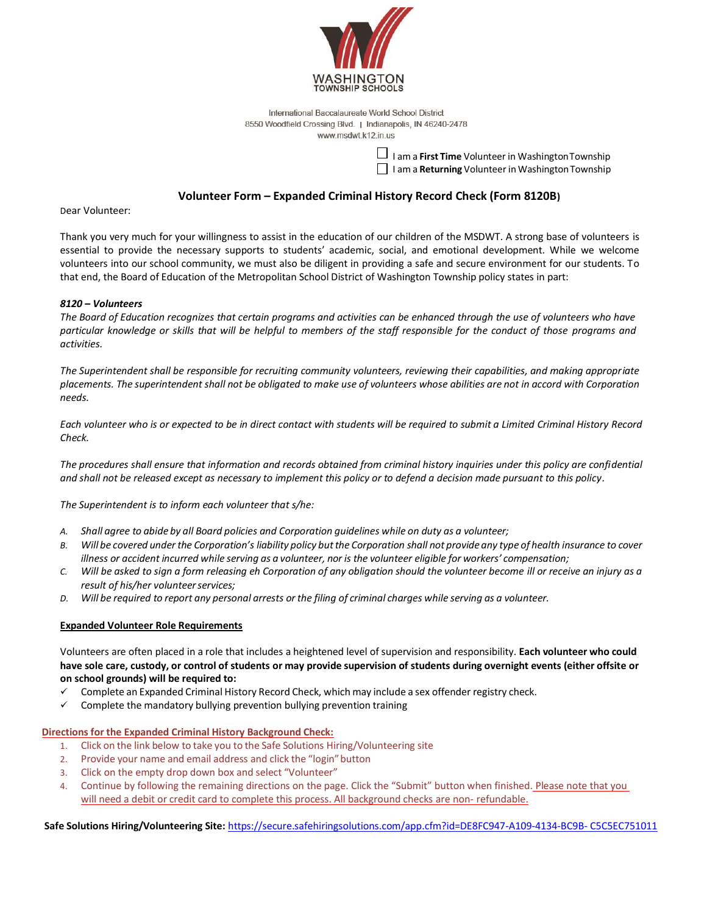

International Baccalaureate World School District 8550 Woodfield Crossing Blvd. | Indianapolis, IN 46240-2478 www.msdwt.k12.in.us

> I am a **First Time** Volunteer in Washington Township I am a **Returning** Volunteer in Washington Township

## **Volunteer Form – Expanded Criminal History Record Check (Form 8120B)**

Dear Volunteer:

Thank you very much for your willingness to assist in the education of our children of the MSDWT. A strong base of volunteers is essential to provide the necessary supports to students' academic, social, and emotional development. While we welcome volunteers into our school community, we must also be diligent in providing a safe and secure environment for our students. To that end, the Board of Education of the Metropolitan School District of Washington Township policy states in part:

### *8120 – Volunteers*

*The Board of Education recognizes that certain programs and activities can be enhanced through the use of volunteers who have particular knowledge or skills that will be helpful to members of the staff responsible for the conduct of those programs and activities.* 

*The Superintendent shall be responsible for recruiting community volunteers, reviewing their capabilities, and making appropriate placements. The superintendent shall not be obligated to make use of volunteers whose abilities are not in accord with Corporation needs.* 

*Each volunteer who is or expected to be in direct contact with students will be required to submit a Limited Criminal History Record Check.* 

*The procedures shall ensure that information and records obtained from criminal history inquiries under this policy are confidential and shall not be released except as necessary to implement this policy or to defend a decision made pursuant to this policy.* 

*The Superintendent is to inform each volunteer that s/he:* 

- *A. Shall agree to abide by all Board policies and Corporation guidelines while on duty as a volunteer;*
- *B. Will be covered under the Corporation's liability policy but the Corporation shall not provide any type of health insurance to cover illness or accident incurred while serving as a volunteer, nor is the volunteer eligible for workers' compensation;*
- *C. Will be asked to sign a form releasing eh Corporation of any obligation should the volunteer become ill or receive an injury as a result of his/her volunteer services;*
- *D. Will be required to report any personal arrests or the filing of criminal charges while serving as a volunteer.*

#### **Expanded Volunteer Role Requirements**

Volunteers are often placed in a role that includes a heightened level of supervision and responsibility. **Each volunteer who could have sole care, custody, or control of students or may provide supervision of students during overnight events (either offsite or on school grounds) will be required to:** 

- Complete an Expanded Criminal History Record Check, which may include a sex offender registry check.
- $\checkmark$  Complete the mandatory bullying prevention bullying prevention training

#### **Directions for the Expanded Criminal History Background Check:**

- 1. Click on the link below to take you to the Safe Solutions Hiring/Volunteering site
- 2. Provide your name and email address and click the "login" button
- 3. Click on the empty drop down box and select "Volunteer"
- 4. Continue by following the remaining directions on the page. Click the "Submit" button when finished. Please note that you will need a debit or credit card to complete this process. All background checks are non- refundable.

**Safe Solutions Hiring/Volunteering Site:** [https://secure.safehiringsolutions.com/app.cfm?id=DE8FC947-A109-4134-BC9B- C5C5EC751011](https://secure.safehiringsolutions.com/app.cfm?id=DE8FC947-A109-4134-BC9B-C5C5EC751011)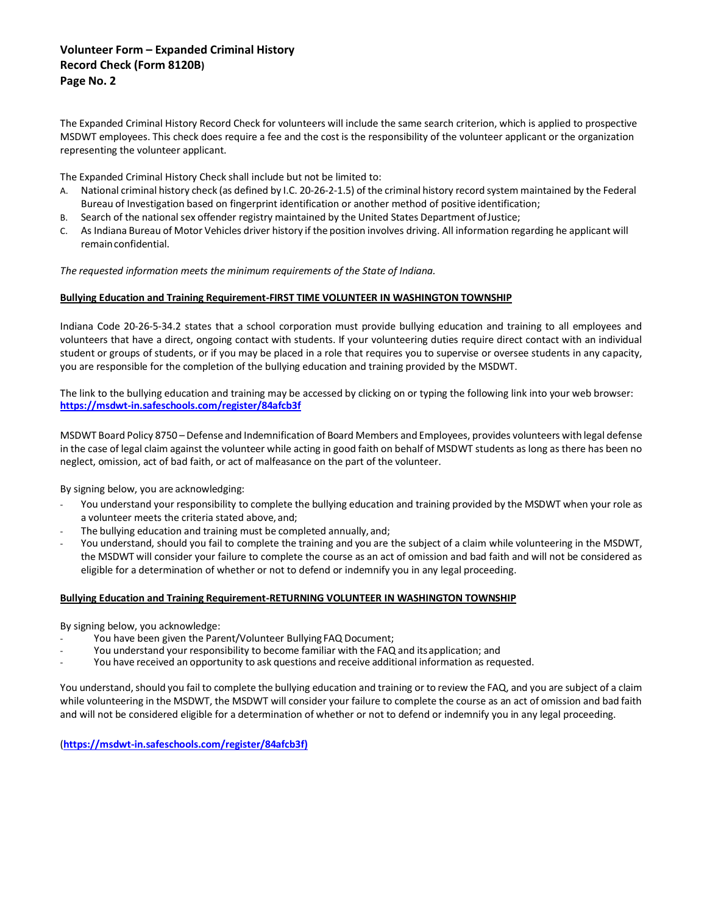## **Volunteer Form – Expanded Criminal History Record Check (Form 8120B) Page No. 2**

The Expanded Criminal History Record Check for volunteers will include the same search criterion, which is applied to prospective MSDWT employees. This check does require a fee and the cost is the responsibility of the volunteer applicant or the organization representing the volunteer applicant.

The Expanded Criminal History Check shall include but not be limited to:

- A. National criminal history check (as defined by I.C. 20-26-2-1.5) of the criminal history record system maintained by the Federal Bureau of Investigation based on fingerprint identification or another method of positive identification;
- B. Search of the national sex offender registry maintained by the United States Department of Justice;
- C. As Indiana Bureau of Motor Vehicles driver history if the position involves driving. All information regarding he applicant will remain confidential.

*The requested information meets the minimum requirements of the State of Indiana.* 

### **Bullying Education and Training Requirement-FIRST TIME VOLUNTEER IN WASHINGTON TOWNSHIP**

Indiana Code 20-26-5-34.2 states that a school corporation must provide bullying education and training to all employees and volunteers that have a direct, ongoing contact with students. If your volunteering duties require direct contact with an individual student or groups of students, or if you may be placed in a role that requires you to supervise or oversee students in any capacity, you are responsible for the completion of the bullying education and training provided by the MSDWT.

The link to the bullying education and training may be accessed by clicking on or typing the following link into your web browser: **<https://msdwt-in.safeschools.com/register/84afcb3f>**

MSDWT Board Policy 8750 – Defense and Indemnification of Board Members and Employees, provides volunteers with legal defense in the case of legal claim against the volunteer while acting in good faith on behalf of MSDWT students as long as there has been no neglect, omission, act of bad faith, or act of malfeasance on the part of the volunteer.

By signing below, you are acknowledging:

- You understand your responsibility to complete the bullying education and training provided by the MSDWT when your role as a volunteer meets the criteria stated above, and;
- The bullying education and training must be completed annually, and;
- You understand, should you fail to complete the training and you are the subject of a claim while volunteering in the MSDWT, the MSDWT will consider your failure to complete the course as an act of omission and bad faith and will not be considered as eligible for a determination of whether or not to defend or indemnify you in any legal proceeding.

### **Bullying Education and Training Requirement-RETURNING VOLUNTEER IN WASHINGTON TOWNSHIP**

By signing below, you acknowledge:

- You have been given the Parent/Volunteer Bullying FAQ Document;
- You understand your responsibility to become familiar with the FAQ and its application; and
- You have received an opportunity to ask questions and receive additional information as requested.

You understand, should you fail to complete the bullying education and training or to review the FAQ, and you are subject of a claim while volunteering in the MSDWT, the MSDWT will consider your failure to complete the course as an act of omission and bad faith and will not be considered eligible for a determination of whether or not to defend or indemnify you in any legal proceeding.

(**[https://msdwt-in.safeschools.com/register/84afcb3f\)](https://msdwt-in.safeschools.com/register/84afcb3f)**